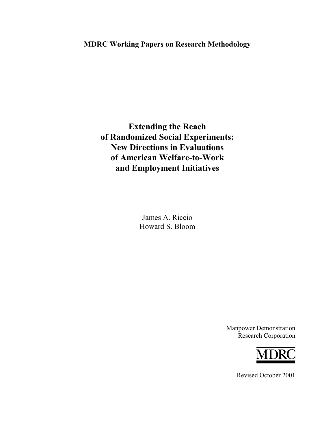# **MDRC Working Papers on Research Methodology**

**Extending the Reach of Randomized Social Experiments: New Directions in Evaluations of American Welfare-to-Work and Employment Initiatives** 

> James A. Riccio Howard S. Bloom

> > Manpower Demonstration Research Corporation



Revised October 2001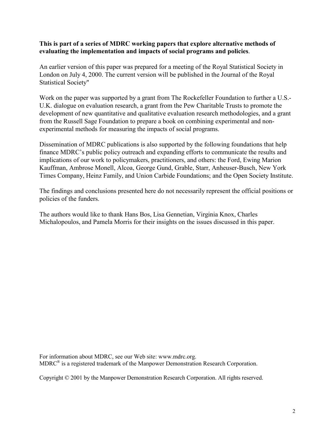#### **This is part of a series of MDRC working papers that explore alternative methods of evaluating the implementation and impacts of social programs and policies**.

An earlier version of this paper was prepared for a meeting of the Royal Statistical Society in London on July 4, 2000. The current version will be published in the Journal of the Royal Statistical Society"

Work on the paper was supported by a grant from The Rockefeller Foundation to further a U.S.- U.K. dialogue on evaluation research, a grant from the Pew Charitable Trusts to promote the development of new quantitative and qualitative evaluation research methodologies, and a grant from the Russell Sage Foundation to prepare a book on combining experimental and nonexperimental methods for measuring the impacts of social programs.

Dissemination of MDRC publications is also supported by the following foundations that help finance MDRC's public policy outreach and expanding efforts to communicate the results and implications of our work to policymakers, practitioners, and others: the Ford, Ewing Marion Kauffman, Ambrose Monell, Alcoa, George Gund, Grable, Starr, Anheuser-Busch, New York Times Company, Heinz Family, and Union Carbide Foundations; and the Open Society Institute.

The findings and conclusions presented here do not necessarily represent the official positions or policies of the funders.

The authors would like to thank Hans Bos, Lisa Gennetian, Virginia Knox, Charles Michalopoulos, and Pamela Morris for their insights on the issues discussed in this paper.

For information about MDRC, see our Web site: www.mdrc.org. MDRC® is a registered trademark of the Manpower Demonstration Research Corporation.

Copyright © 2001 by the Manpower Demonstration Research Corporation. All rights reserved.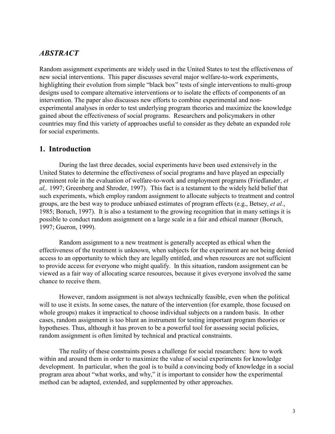## *ABSTRACT*

Random assignment experiments are widely used in the United States to test the effectiveness of new social interventions. This paper discusses several major welfare-to-work experiments, highlighting their evolution from simple "black box" tests of single interventions to multi-group designs used to compare alternative interventions or to isolate the effects of components of an intervention. The paper also discusses new efforts to combine experimental and nonexperimental analyses in order to test underlying program theories and maximize the knowledge gained about the effectiveness of social programs. Researchers and policymakers in other countries may find this variety of approaches useful to consider as they debate an expanded role for social experiments.

#### **1. Introduction**

 During the last three decades, social experiments have been used extensively in the United States to determine the effectiveness of social programs and have played an especially prominent role in the evaluation of welfare-to-work and employment programs (Friedlander, *et al,.* 1997; Greenberg and Shroder, 1997). This fact is a testament to the widely held belief that such experiments, which employ random assignment to allocate subjects to treatment and control groups, are the best way to produce unbiased estimates of program effects (e.g., Betsey, *et al.*, 1985; Boruch, 1997). It is also a testament to the growing recognition that in many settings it is possible to conduct random assignment on a large scale in a fair and ethical manner (Boruch, 1997; Gueron, 1999).

 Random assignment to a new treatment is generally accepted as ethical when the effectiveness of the treatment is unknown, when subjects for the experiment are not being denied access to an opportunity to which they are legally entitled, and when resources are not sufficient to provide access for everyone who might qualify. In this situation, random assignment can be viewed as a fair way of allocating scarce resources, because it gives everyone involved the same chance to receive them.

 However, random assignment is not always technically feasible, even when the political will to use it exists. In some cases, the nature of the intervention (for example, those focused on whole groups) makes it impractical to choose individual subjects on a random basis. In other cases, random assignment is too blunt an instrument for testing important program theories or hypotheses. Thus, although it has proven to be a powerful tool for assessing social policies, random assignment is often limited by technical and practical constraints.

 The reality of these constraints poses a challenge for social researchers: how to work within and around them in order to maximize the value of social experiments for knowledge development. In particular, when the goal is to build a convincing body of knowledge in a social program area about "what works, and why," it is important to consider how the experimental method can be adapted, extended, and supplemented by other approaches.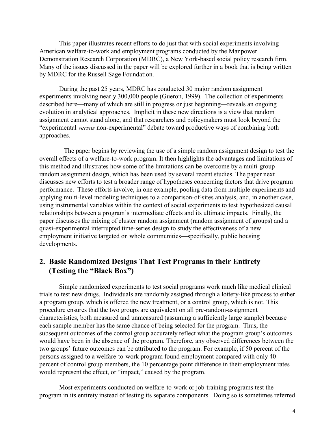This paper illustrates recent efforts to do just that with social experiments involving American welfare-to-work and employment programs conducted by the Manpower Demonstration Research Corporation (MDRC), a New York-based social policy research firm. Many of the issues discussed in the paper will be explored further in a book that is being written by MDRC for the Russell Sage Foundation.

During the past 25 years, MDRC has conducted 30 major random assignment experiments involving nearly 300,000 people (Gueron, 1999). The collection of experiments described here—many of which are still in progress or just beginning—reveals an ongoing evolution in analytical approaches. Implicit in these new directions is a view that random assignment cannot stand alone, and that researchers and policymakers must look beyond the "experimental *versus* non-experimental" debate toward productive ways of combining both approaches.

 The paper begins by reviewing the use of a simple random assignment design to test the overall effects of a welfare-to-work program. It then highlights the advantages and limitations of this method and illustrates how some of the limitations can be overcome by a multi-group random assignment design, which has been used by several recent studies. The paper next discusses new efforts to test a broader range of hypotheses concerning factors that drive program performance. These efforts involve, in one example, pooling data from multiple experiments and applying multi-level modeling techniques to a comparison-of-sites analysis, and, in another case, using instrumental variables within the context of social experiments to test hypothesized causal relationships between a program's intermediate effects and its ultimate impacts. Finally, the paper discusses the mixing of cluster random assignment (random assignment of groups) and a quasi-experimental interrupted time-series design to study the effectiveness of a new employment initiative targeted on whole communities—specifically, public housing developments.

## **2. Basic Randomized Designs That Test Programs in their Entirety (Testing the "Black Box")**

Simple randomized experiments to test social programs work much like medical clinical trials to test new drugs. Individuals are randomly assigned through a lottery-like process to either a program group, which is offered the new treatment, or a control group, which is not. This procedure ensures that the two groups are equivalent on all pre-random-assignment characteristics, both measured and unmeasured (assuming a sufficiently large sample) because each sample member has the same chance of being selected for the program. Thus, the subsequent outcomes of the control group accurately reflect what the program group's outcomes would have been in the absence of the program. Therefore, any observed differences between the two groups' future outcomes can be attributed to the program. For example, if 50 percent of the persons assigned to a welfare-to-work program found employment compared with only 40 percent of control group members, the 10 percentage point difference in their employment rates would represent the effect, or "impact," caused by the program.

Most experiments conducted on welfare-to-work or job-training programs test the program in its entirety instead of testing its separate components. Doing so is sometimes referred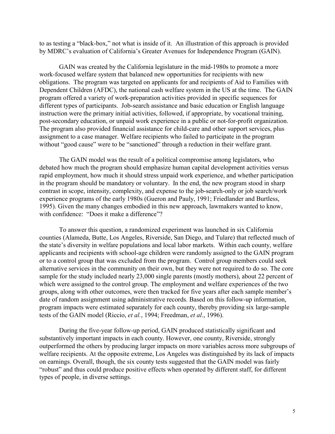to as testing a "black-box," not what is inside of it. An illustration of this approach is provided by MDRC's evaluation of California's Greater Avenues for Independence Program (GAIN).

GAIN was created by the California legislature in the mid-1980s to promote a more work-focused welfare system that balanced new opportunities for recipients with new obligations. The program was targeted on applicants for and recipients of Aid to Families with Dependent Children (AFDC), the national cash welfare system in the US at the time. The GAIN program offered a variety of work-preparation activities provided in specific sequences for different types of participants. Job-search assistance and basic education or English language instruction were the primary initial activities, followed, if appropriate, by vocational training, post-secondary education, or unpaid work experience in a public or not-for-profit organization. The program also provided financial assistance for child-care and other support services, plus assignment to a case manager. Welfare recipients who failed to participate in the program without "good cause" were to be "sanctioned" through a reduction in their welfare grant.

The GAIN model was the result of a political compromise among legislators, who debated how much the program should emphasize human capital development activities versus rapid employment, how much it should stress unpaid work experience, and whether participation in the program should be mandatory or voluntary. In the end, the new program stood in sharp contrast in scope, intensity, complexity, and expense to the job-search-only or job search/work experience programs of the early 1980s (Gueron and Pauly, 1991; Friedlander and Burtless, 1995). Given the many changes embodied in this new approach, lawmakers wanted to know, with confidence: "Does it make a difference"?

To answer this question, a randomized experiment was launched in six California counties (Alameda, Butte, Los Angeles, Riverside, San Diego, and Tulare) that reflected much of the state's diversity in welfare populations and local labor markets. Within each county, welfare applicants and recipients with school-age children were randomly assigned to the GAIN program or to a control group that was excluded from the program. Control group members could seek alternative services in the community on their own, but they were not required to do so. The core sample for the study included nearly 23,000 single parents (mostly mothers), about 22 percent of which were assigned to the control group. The employment and welfare experiences of the two groups, along with other outcomes, were then tracked for five years after each sample member's date of random assignment using administrative records. Based on this follow-up information, program impacts were estimated separately for each county, thereby providing six large-sample tests of the GAIN model (Riccio, *et al.*, 1994; Freedman, *et al*., 1996).

 During the five-year follow-up period, GAIN produced statistically significant and substantively important impacts in each county. However, one county, Riverside, strongly outperformed the others by producing larger impacts on more variables across more subgroups of welfare recipients. At the opposite extreme, Los Angeles was distinguished by its lack of impacts on earnings. Overall, though, the six county tests suggested that the GAIN model was fairly "robust" and thus could produce positive effects when operated by different staff, for different types of people, in diverse settings.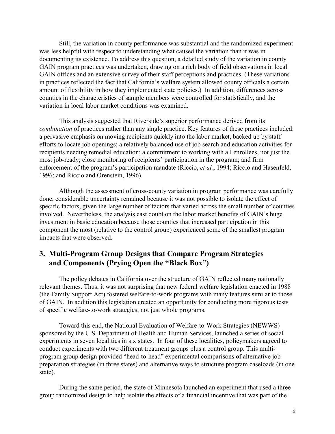Still, the variation in county performance was substantial and the randomized experiment was less helpful with respect to understanding what caused the variation than it was in documenting its existence. To address this question, a detailed study of the variation in county GAIN program practices was undertaken, drawing on a rich body of field observations in local GAIN offices and an extensive survey of their staff perceptions and practices. (These variations in practices reflected the fact that California's welfare system allowed county officials a certain amount of flexibility in how they implemented state policies.) In addition, differences across counties in the characteristics of sample members were controlled for statistically, and the variation in local labor market conditions was examined.

This analysis suggested that Riverside's superior performance derived from its *combination* of practices rather than any single practice. Key features of these practices included: a pervasive emphasis on moving recipients quickly into the labor market, backed up by staff efforts to locate job openings; a relatively balanced use of job search and education activities for recipients needing remedial education; a commitment to working with all enrollees, not just the most job-ready; close monitoring of recipients' participation in the program; and firm enforcement of the program's participation mandate (Riccio, *et al.*, 1994; Riccio and Hasenfeld, 1996; and Riccio and Orenstein, 1996).

 Although the assessment of cross-county variation in program performance was carefully done, considerable uncertainty remained because it was not possible to isolate the effect of specific factors, given the large number of factors that varied across the small number of counties involved. Nevertheless, the analysis cast doubt on the labor market benefits of GAIN's huge investment in basic education because those counties that increased participation in this component the most (relative to the control group) experienced some of the smallest program impacts that were observed.

# **3. Multi-Program Group Designs that Compare Program Strategies and Components (Prying Open the "Black Box")**

The policy debates in California over the structure of GAIN reflected many nationally relevant themes. Thus, it was not surprising that new federal welfare legislation enacted in 1988 (the Family Support Act) fostered welfare-to-work programs with many features similar to those of GAIN. In addition this legislation created an opportunity for conducting more rigorous tests of specific welfare-to-work strategies, not just whole programs.

Toward this end, the National Evaluation of Welfare-to-Work Strategies (NEWWS) sponsored by the U.S. Department of Health and Human Services, launched a series of social experiments in seven localities in six states. In four of these localities, policymakers agreed to conduct experiments with two different treatment groups plus a control group. This multiprogram group design provided "head-to-head" experimental comparisons of alternative job preparation strategies (in three states) and alternative ways to structure program caseloads (in one state).

During the same period, the state of Minnesota launched an experiment that used a threegroup randomized design to help isolate the effects of a financial incentive that was part of the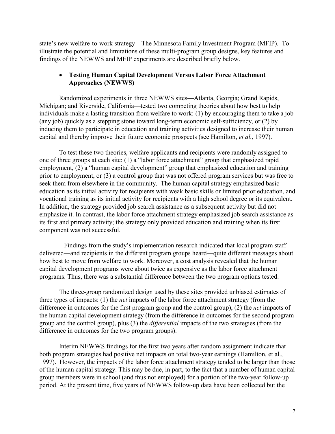state's new welfare-to-work strategy—The Minnesota Family Investment Program (MFIP). To illustrate the potential and limitations of these multi-program group designs, key features and findings of the NEWWS and MFIP experiments are described briefly below.

## - **Testing Human Capital Development Versus Labor Force Attachment Approaches (NEWWS)**

Randomized experiments in three NEWWS sites—Atlanta, Georgia; Grand Rapids, Michigan; and Riverside, California—tested two competing theories about how best to help individuals make a lasting transition from welfare to work: (1) by encouraging them to take a job (any job) quickly as a stepping stone toward long-term economic self-sufficiency, or (2) by inducing them to participate in education and training activities designed to increase their human capital and thereby improve their future economic prospects (see Hamilton, *et al.*, 1997).

To test these two theories, welfare applicants and recipients were randomly assigned to one of three groups at each site: (1) a "labor force attachment" group that emphasized rapid employment, (2) a "human capital development" group that emphasized education and training prior to employment, or (3) a control group that was not offered program services but was free to seek them from elsewhere in the community. The human capital strategy emphasized basic education as its initial activity for recipients with weak basic skills or limited prior education, and vocational training as its initial activity for recipients with a high school degree or its equivalent. In addition, the strategy provided job search assistance as a subsequent activity but did not emphasize it. In contrast, the labor force attachment strategy emphasized job search assistance as its first and primary activity; the strategy only provided education and training when its first component was not successful.

 Findings from the study's implementation research indicated that local program staff delivered—and recipients in the different program groups heard—quite different messages about how best to move from welfare to work. Moreover, a cost analysis revealed that the human capital development programs were about twice as expensive as the labor force attachment programs. Thus, there was a substantial difference between the two program options tested.

The three-group randomized design used by these sites provided unbiased estimates of three types of impacts: (1) the *net* impacts of the labor force attachment strategy (from the difference in outcomes for the first program group and the control group), (2) the *net* impacts of the human capital development strategy (from the difference in outcomes for the second program group and the control group), plus (3) the *differential* impacts of the two strategies (from the difference in outcomes for the two program groups).

Interim NEWWS findings for the first two years after random assignment indicate that both program strategies had positive net impacts on total two-year earnings (Hamilton, et al., 1997). However, the impacts of the labor force attachment strategy tended to be larger than those of the human capital strategy. This may be due, in part, to the fact that a number of human capital group members were in school (and thus not employed) for a portion of the two-year follow-up period. At the present time, five years of NEWWS follow-up data have been collected but the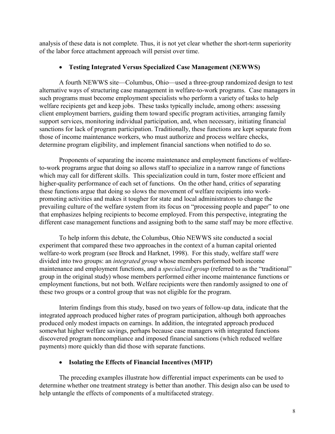analysis of these data is not complete. Thus, it is not yet clear whether the short-term superiority of the labor force attachment approach will persist over time.

## - **Testing Integrated Versus Specialized Case Management (NEWWS)**

 A fourth NEWWS site—Columbus, Ohio—used a three-group randomized design to test alternative ways of structuring case management in welfare-to-work programs. Case managers in such programs must become employment specialists who perform a variety of tasks to help welfare recipients get and keep jobs. These tasks typically include, among others: assessing client employment barriers, guiding them toward specific program activities, arranging family support services, monitoring individual participation, and, when necessary, initiating financial sanctions for lack of program participation. Traditionally, these functions are kept separate from those of income maintenance workers, who must authorize and process welfare checks, determine program eligibility, and implement financial sanctions when notified to do so.

 Proponents of separating the income maintenance and employment functions of welfareto-work programs argue that doing so allows staff to specialize in a narrow range of functions which may call for different skills. This specialization could in turn, foster more efficient and higher-quality performance of each set of functions. On the other hand, critics of separating these functions argue that doing so slows the movement of welfare recipients into workpromoting activities and makes it tougher for state and local administrators to change the prevailing culture of the welfare system from its focus on "processing people and paper" to one that emphasizes helping recipients to become employed. From this perspective, integrating the different case management functions and assigning both to the same staff may be more effective.

 To help inform this debate, the Columbus, Ohio NEWWS site conducted a social experiment that compared these two approaches in the context of a human capital oriented welfare-to work program (see Brock and Harknet, 1998). For this study, welfare staff were divided into two groups: an *integrated group* whose members performed both income maintenance and employment functions, and a *specialized group* (referred to as the "traditional" group in the original study) whose members performed either income maintenance functions or employment functions, but not both. Welfare recipients were then randomly assigned to one of these two groups or a control group that was not eligible for the program.

Interim findings from this study, based on two years of follow-up data, indicate that the integrated approach produced higher rates of program participation, although both approaches produced only modest impacts on earnings. In addition, the integrated approach produced somewhat higher welfare savings, perhaps because case managers with integrated functions discovered program noncompliance and imposed financial sanctions (which reduced welfare payments) more quickly than did those with separate functions.

# - **Isolating the Effects of Financial Incentives (MFIP)**

The preceding examples illustrate how differential impact experiments can be used to determine whether one treatment strategy is better than another. This design also can be used to help untangle the effects of components of a multifaceted strategy.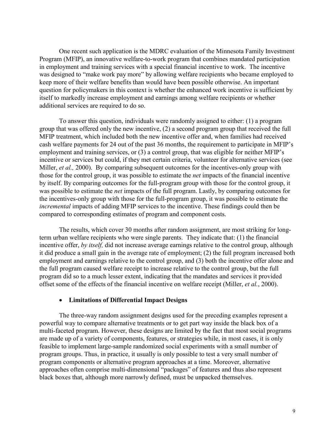One recent such application is the MDRC evaluation of the Minnesota Family Investment Program (MFIP), an innovative welfare-to-work program that combines mandated participation in employment and training services with a special financial incentive to work. The incentive was designed to "make work pay more" by allowing welfare recipients who became employed to keep more of their welfare benefits than would have been possible otherwise. An important question for policymakers in this context is whether the enhanced work incentive is sufficient by itself to markedly increase employment and earnings among welfare recipients or whether additional services are required to do so.

To answer this question, individuals were randomly assigned to either: (1) a program group that was offered only the new incentive, (2) a second program group that received the full MFIP treatment, which included both the new incentive offer and, when families had received cash welfare payments for 24 out of the past 36 months, the requirement to participate in MFIP's employment and training services, or (3) a control group, that was eligible for neither MFIP's incentive or services but could, if they met certain criteria, volunteer for alternative services (see Miller, *et al.*, 2000). By comparing subsequent outcomes for the incentives-only group with those for the control group, it was possible to estimate the *net* impacts of the financial incentive by itself. By comparing outcomes for the full-program group with those for the control group, it was possible to estimate the *net* impacts of the full program. Lastly, by comparing outcomes for the incentives-only group with those for the full-program group, it was possible to estimate the *incremental* impacts of adding MFIP services to the incentive. These findings could then be compared to corresponding estimates of program and component costs.

The results, which cover 30 months after random assignment, are most striking for longterm urban welfare recipients who were single parents. They indicate that: (1) the financial incentive offer, *by itself,* did not increase average earnings relative to the control group, although it did produce a small gain in the average rate of employment; (2) the full program increased both employment and earnings relative to the control group, and (3) both the incentive offer alone and the full program caused welfare receipt to increase relative to the control group, but the full program did so to a much lesser extent, indicating that the mandates and services it provided offset some of the effects of the financial incentive on welfare receipt (Miller, *et al.*, 2000).

## - **Limitations of Differential Impact Designs**

The three-way random assignment designs used for the preceding examples represent a powerful way to compare alternative treatments or to get part way inside the black box of a multi-faceted program. However, these designs are limited by the fact that most social programs are made up of a variety of components, features, or strategies while, in most cases, it is only feasible to implement large-sample randomized social experiments with a small number of program groups. Thus, in practice, it usually is only possible to test a very small number of program components or alternative program approaches at a time. Moreover, alternative approaches often comprise multi-dimensional "packages" of features and thus also represent black boxes that, although more narrowly defined, must be unpacked themselves.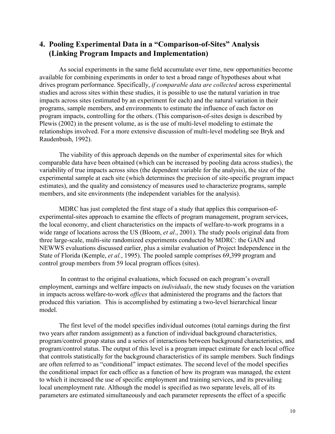## **4. Pooling Experimental Data in a "Comparison-of-Sites" Analysis (Linking Program Impacts and Implementation)**

As social experiments in the same field accumulate over time, new opportunities become available for combining experiments in order to test a broad range of hypotheses about what drives program performance. Specifically, *if comparable data are collected* across experimental studies and across sites within these studies, it is possible to use the natural variation in true impacts across sites (estimated by an experiment for each) and the natural variation in their programs, sample members, and environments to estimate the influence of each factor on program impacts, controlling for the others. (This comparison-of-sites design is described by Plewis (2002) in the present volume, as is the use of multi-level modeling to estimate the relationships involved. For a more extensive discussion of multi-level modeling see Bryk and Raudenbush, 1992).

The viability of this approach depends on the number of experimental sites for which comparable data have been obtained (which can be increased by pooling data across studies), the variability of true impacts across sites (the dependent variable for the analysis), the size of the experimental sample at each site (which determines the precision of site-specific program impact estimates), and the quality and consistency of measures used to characterize programs, sample members, and site environments (the independent variables for the analysis).

MDRC has just completed the first stage of a study that applies this comparison-ofexperimental-sites approach to examine the effects of program management, program services, the local economy, and client characteristics on the impacts of welfare-to-work programs in a wide range of locations across the US (Bloom, *et al*., 2001). The study pools original data from three large-scale, multi-site randomized experiments conducted by MDRC: the GAIN and NEWWS evaluations discussed earlier, plus a similar evaluation of Project Independence in the State of Florida (Kemple, *et al.*, 1995). The pooled sample comprises 69,399 program and control group members from 59 local program offices (sites).

 In contrast to the original evaluations, which focused on each program's overall employment, earnings and welfare impacts on *individuals*, the new study focuses on the variation in impacts across welfare-to-work *offices* that administered the programs and the factors that produced this variation. This is accomplished by estimating a two-level hierarchical linear model.

The first level of the model specifies individual outcomes (total earnings during the first two years after random assignment) as a function of individual background characteristics, program/control group status and a series of interactions between background characteristics, and program/control status. The output of this level is a program impact estimate for each local office that controls statistically for the background characteristics of its sample members. Such findings are often referred to as "conditional" impact estimates. The second level of the model specifies the conditional impact for each office as a function of how its program was managed, the extent to which it increased the use of specific employment and training services, and its prevailing local unemployment rate. Although the model is specified as two separate levels, all of its parameters are estimated simultaneously and each parameter represents the effect of a specific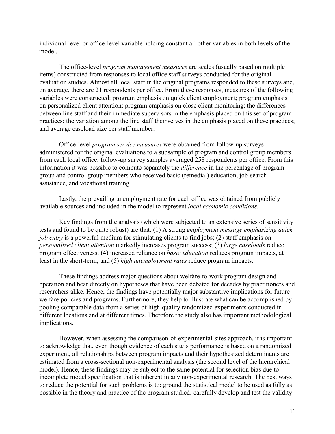individual-level or office-level variable holding constant all other variables in both levels of the model.

The office-level *program management measures* are scales (usually based on multiple items) constructed from responses to local office staff surveys conducted for the original evaluation studies. Almost all local staff in the original programs responded to these surveys and, on average, there are 21 respondents per office. From these responses, measures of the following variables were constructed: program emphasis on quick client employment; program emphasis on personalized client attention; program emphasis on close client monitoring; the differences between line staff and their immediate supervisors in the emphasis placed on this set of program practices; the variation among the line staff themselves in the emphasis placed on these practices; and average caseload size per staff member.

Office-level *program service measures* were obtained from follow-up surveys administered for the original evaluations to a subsample of program and control group members from each local office; follow-up survey samples averaged 258 respondents per office. From this information it was possible to compute separately the *difference* in the percentage of program group and control group members who received basic (remedial) education, job-search assistance, and vocational training.

Lastly, the prevailing unemployment rate for each office was obtained from publicly available sources and included in the model to represent *local economic conditions*.

Key findings from the analysis (which were subjected to an extensive series of sensitivity tests and found to be quite robust) are that: (1) A strong *employment message emphasizing quick job entry* is a powerful medium for stimulating clients to find jobs; (2) staff emphasis on *personalized client attention* markedly increases program success; (3) *large caseloads* reduce program effectiveness; (4) increased reliance on *basic education* reduces program impacts, at least in the short-term; and (5) *high unemployment rates* reduce program impacts.

These findings address major questions about welfare-to-work program design and operation and bear directly on hypotheses that have been debated for decades by practitioners and researchers alike. Hence, the findings have potentially major substantive implications for future welfare policies and programs. Furthermore, they help to illustrate what can be accomplished by pooling comparable data from a series of high-quality randomized experiments conducted in different locations and at different times. Therefore the study also has important methodological implications.

However, when assessing the comparison-of-experimental-sites approach, it is important to acknowledge that, even though evidence of each site's performance is based on a randomized experiment, all relationships between program impacts and their hypothesized determinants are estimated from a cross-sectional non-experimental analysis (the second level of the hierarchical model). Hence, these findings may be subject to the same potential for selection bias due to incomplete model specification that is inherent in any non-experimental research. The best ways to reduce the potential for such problems is to: ground the statistical model to be used as fully as possible in the theory and practice of the program studied; carefully develop and test the validity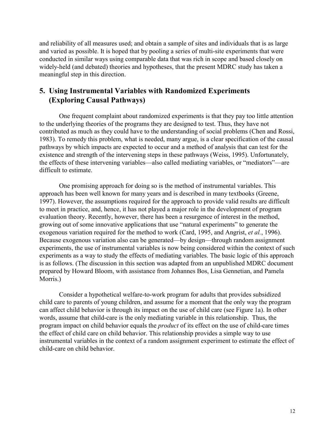and reliability of all measures used; and obtain a sample of sites and individuals that is as large and varied as possible. It is hoped that by pooling a series of multi-site experiments that were conducted in similar ways using comparable data that was rich in scope and based closely on widely-held (and debated) theories and hypotheses, that the present MDRC study has taken a meaningful step in this direction.

# **5. Using Instrumental Variables with Randomized Experiments (Exploring Causal Pathways)**

One frequent complaint about randomized experiments is that they pay too little attention to the underlying theories of the programs they are designed to test. Thus, they have not contributed as much as they could have to the understanding of social problems (Chen and Rossi, 1983). To remedy this problem, what is needed, many argue, is a clear specification of the causal pathways by which impacts are expected to occur and a method of analysis that can test for the existence and strength of the intervening steps in these pathways (Weiss, 1995). Unfortunately, the effects of these intervening variables—also called mediating variables, or "mediators"—are difficult to estimate.

One promising approach for doing so is the method of instrumental variables. This approach has been well known for many years and is described in many textbooks (Greene, 1997). However, the assumptions required for the approach to provide valid results are difficult to meet in practice, and, hence, it has not played a major role in the development of program evaluation theory. Recently, however, there has been a resurgence of interest in the method, growing out of some innovative applications that use "natural experiments" to generate the exogenous variation required for the method to work (Card, 1995, and Angrist, *et al.*, 1996). Because exogenous variation also can be generated—by design—through random assignment experiments, the use of instrumental variables is now being considered within the context of such experiments as a way to study the effects of mediating variables. The basic logic of this approach is as follows. (The discussion in this section was adapted from an unpublished MDRC document prepared by Howard Bloom, with assistance from Johannes Bos, Lisa Gennetian, and Pamela Morris.)

Consider a hypothetical welfare-to-work program for adults that provides subsidized child care to parents of young children, and assume for a moment that the only way the program can affect child behavior is through its impact on the use of child care (see Figure 1a). In other words, assume that child-care is the only mediating variable in this relationship. Thus, the program impact on child behavior equals the *product* of its effect on the use of child-care times the effect of child care on child behavior. This relationship provides a simple way to use instrumental variables in the context of a random assignment experiment to estimate the effect of child-care on child behavior.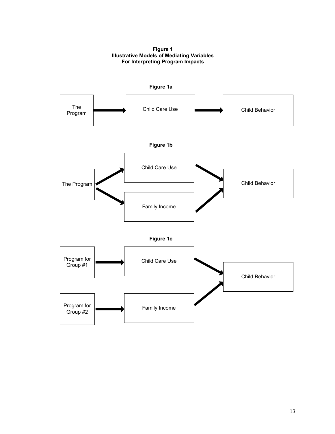**Figure 1 Illustrative Models of Mediating Variables For Interpreting Program Impacts**

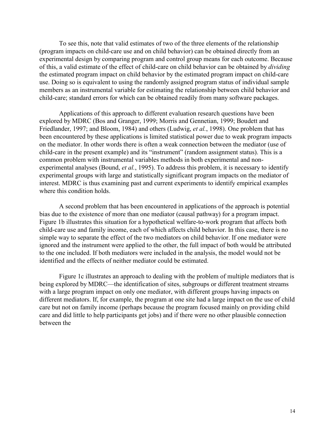To see this, note that valid estimates of two of the three elements of the relationship (program impacts on child-care use and on child behavior) can be obtained directly from an experimental design by comparing program and control group means for each outcome. Because of this, a valid estimate of the effect of child-care on child behavior can be obtained by *dividing* the estimated program impact on child behavior by the estimated program impact on child-care use. Doing so is equivalent to using the randomly assigned program status of individual sample members as an instrumental variable for estimating the relationship between child behavior and child-care; standard errors for which can be obtained readily from many software packages.

Applications of this approach to different evaluation research questions have been explored by MDRC (Bos and Granger, 1999; Morris and Gennetian, 1999; Boudett and Friedlander, 1997; and Bloom, 1984) and others (Ludwig, *et al.*, 1998). One problem that has been encountered by these applications is limited statistical power due to weak program impacts on the mediator. In other words there is often a weak connection between the mediator (use of child-care in the present example) and its "instrument" (random assignment status). This is a common problem with instrumental variables methods in both experimental and nonexperimental analyses (Bound, *et al.*, 1995). To address this problem, it is necessary to identify experimental groups with large and statistically significant program impacts on the mediator of interest. MDRC is thus examining past and current experiments to identify empirical examples where this condition holds.

A second problem that has been encountered in applications of the approach is potential bias due to the existence of more than one mediator (causal pathway) for a program impact. Figure 1b illustrates this situation for a hypothetical welfare-to-work program that affects both child-care use and family income, each of which affects child behavior. In this case, there is no simple way to separate the effect of the two mediators on child behavior. If one mediator were ignored and the instrument were applied to the other, the full impact of both would be attributed to the one included. If both mediators were included in the analysis, the model would not be identified and the effects of neither mediator could be estimated.

Figure 1c illustrates an approach to dealing with the problem of multiple mediators that is being explored by MDRC—the identification of sites, subgroups or different treatment streams with a large program impact on only one mediator, with different groups having impacts on different mediators. If, for example, the program at one site had a large impact on the use of child care but not on family income (perhaps because the program focused mainly on providing child care and did little to help participants get jobs) and if there were no other plausible connection between the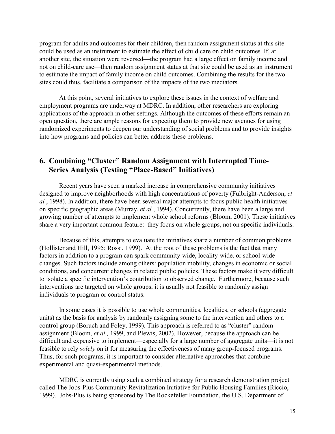program for adults and outcomes for their children, then random assignment status at this site could be used as an instrument to estimate the effect of child care on child outcomes. If, at another site, the situation were reversed—the program had a large effect on family income and not on child-care use—then random assignment status at that site could be used as an instrument to estimate the impact of family income on child outcomes. Combining the results for the two sites could thus, facilitate a comparison of the impacts of the two mediators.

At this point, several initiatives to explore these issues in the context of welfare and employment programs are underway at MDRC. In addition, other researchers are exploring applications of the approach in other settings. Although the outcomes of these efforts remain an open question, there are ample reasons for expecting them to provide new avenues for using randomized experiments to deepen our understanding of social problems and to provide insights into how programs and policies can better address these problems.

# **6. Combining "Cluster" Random Assignment with Interrupted Time- Series Analysis (Testing "Place-Based" Initiatives)**

Recent years have seen a marked increase in comprehensive community initiatives designed to improve neighborhoods with high concentrations of poverty (Fulbright-Anderson, *et al.*, 1998). In addition, there have been several major attempts to focus public health initiatives on specific geographic areas (Murray, *et al.*, 1994). Concurrently, there have been a large and growing number of attempts to implement whole school reforms (Bloom, 2001). These initiatives share a very important common feature: they focus on whole groups, not on specific individuals.

Because of this, attempts to evaluate the initiatives share a number of common problems (Hollister and Hill, 1995; Rossi, 1999). At the root of these problems is the fact that many factors in addition to a program can spark community-wide, locality-wide, or school-wide changes. Such factors include among others: population mobility, changes in economic or social conditions, and concurrent changes in related public policies. These factors make it very difficult to isolate a specific intervention's contribution to observed change. Furthermore, because such interventions are targeted on whole groups, it is usually not feasible to randomly assign individuals to program or control status.

In some cases it is possible to use whole communities, localities, or schools (aggregate units) as the basis for analysis by randomly assigning some to the intervention and others to a control group (Boruch and Foley, 1999). This approach is referred to as "cluster" random assignment (Bloom, *et al.,* 1999, and Plewis, 2002). However, because the approach can be difficult and expensive to implement—especially for a large number of aggregate units—it is not feasible to rely *solely* on it for measuring the effectiveness of many group-focused programs. Thus, for such programs, it is important to consider alternative approaches that combine experimental and quasi-experimental methods.

MDRC is currently using such a combined strategy for a research demonstration project called The Jobs-Plus Community Revitalization Initiative for Public Housing Families (Riccio, 1999). Jobs-Plus is being sponsored by The Rockefeller Foundation, the U.S. Department of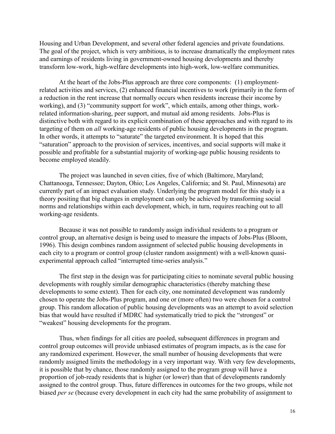Housing and Urban Development, and several other federal agencies and private foundations. The goal of the project, which is very ambitious, is to increase dramatically the employment rates and earnings of residents living in government-owned housing developments and thereby transform low-work, high-welfare developments into high-work, low-welfare communities.

At the heart of the Jobs-Plus approach are three core components: (1) employmentrelated activities and services, (2) enhanced financial incentives to work (primarily in the form of a reduction in the rent increase that normally occurs when residents increase their income by working), and (3) "community support for work", which entails, among other things, workrelated information-sharing, peer support, and mutual aid among residents. Jobs-Plus is distinctive both with regard to its explicit combination of these approaches and with regard to its targeting of them on *all* working-age residents of public housing developments in the program. In other words, it attempts to "saturate" the targeted environment. It is hoped that this "saturation" approach to the provision of services, incentives, and social supports will make it possible and profitable for a substantial majority of working-age public housing residents to become employed steadily.

The project was launched in seven cities, five of which (Baltimore, Maryland; Chattanooga, Tennessee; Dayton, Ohio; Los Angeles, California; and St. Paul, Minnesota) are currently part of an impact evaluation study. Underlying the program model for this study is a theory positing that big changes in employment can only be achieved by transforming social norms and relationships within each development, which, in turn, requires reaching out to all working-age residents.

Because it was not possible to randomly assign individual residents to a program or control group, an alternative design is being used to measure the impacts of Jobs-Plus (Bloom, 1996). This design combines random assignment of selected public housing developments in each city to a program or control group (cluster random assignment) with a well-known quasiexperimental approach called "interrupted time-series analysis."

The first step in the design was for participating cities to nominate several public housing developments with roughly similar demographic characteristics (thereby matching these developments to some extent). Then for each city, one nominated development was randomly chosen to operate the Jobs-Plus program, and one or (more often) two were chosen for a control group. This random allocation of public housing developments was an attempt to avoid selection bias that would have resulted if MDRC had systematically tried to pick the "strongest" or "weakest" housing developments for the program.

Thus, when findings for all cities are pooled, subsequent differences in program and control group outcomes will provide unbiased estimates of program impacts, as is the case for any randomized experiment. However, the small number of housing developments that were randomly assigned limits the methodology in a very important way. With very few developments, it is possible that by chance, those randomly assigned to the program group will have a proportion of job-ready residents that is higher (or lower) than that of developments randomly assigned to the control group. Thus, future differences in outcomes for the two groups, while not biased *per se* (because every development in each city had the same probability of assignment to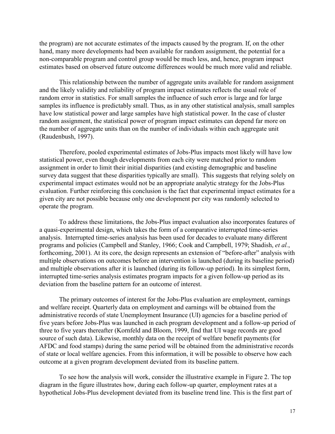the program) are not accurate estimates of the impacts caused by the program. If, on the other hand, many more developments had been available for random assignment, the potential for a non-comparable program and control group would be much less, and, hence, program impact estimates based on observed future outcome differences would be much more valid and reliable.

This relationship between the number of aggregate units available for random assignment and the likely validity and reliability of program impact estimates reflects the usual role of random error in statistics. For small samples the influence of such error is large and for large samples its influence is predictably small. Thus, as in any other statistical analysis, small samples have low statistical power and large samples have high statistical power. In the case of cluster random assignment, the statistical power of program impact estimates can depend far more on the number of aggregate units than on the number of individuals within each aggregate unit (Raudenbush, 1997).

Therefore, pooled experimental estimates of Jobs-Plus impacts most likely will have low statistical power, even though developments from each city were matched prior to random assignment in order to limit their initial disparities (and existing demographic and baseline survey data suggest that these disparities typically are small). This suggests that relying solely on experimental impact estimates would not be an appropriate analytic strategy for the Jobs-Plus evaluation. Further reinforcing this conclusion is the fact that experimental impact estimates for a given city are not possible because only one development per city was randomly selected to operate the program.

To address these limitations, the Jobs-Plus impact evaluation also incorporates features of a quasi-experimental design, which takes the form of a comparative interrupted time-series analysis. Interrupted time-series analysis has been used for decades to evaluate many different programs and policies (Campbell and Stanley, 1966; Cook and Campbell, 1979; Shadish, *et al.*, forthcoming, 2001). At its core, the design represents an extension of "before-after" analysis with multiple observations on outcomes before an intervention is launched (during its baseline period) and multiple observations after it is launched (during its follow-up period). In its simplest form, interrupted time-series analysis estimates program impacts for a given follow-up period as its deviation from the baseline pattern for an outcome of interest.

The primary outcomes of interest for the Jobs-Plus evaluation are employment, earnings and welfare receipt. Quarterly data on employment and earnings will be obtained from the administrative records of state Unemployment Insurance (UI) agencies for a baseline period of five years before Jobs-Plus was launched in each program development and a follow-up period of three to five years thereafter (Kornfeld and Bloom, 1999, find that UI wage records are good source of such data). Likewise, monthly data on the receipt of welfare benefit payments (for AFDC and food stamps) during the same period will be obtained from the administrative records of state or local welfare agencies. From this information, it will be possible to observe how each outcome at a given program development deviated from its baseline pattern.

To see how the analysis will work, consider the illustrative example in Figure 2. The top diagram in the figure illustrates how, during each follow-up quarter, employment rates at a hypothetical Jobs-Plus development deviated from its baseline trend line. This is the first part of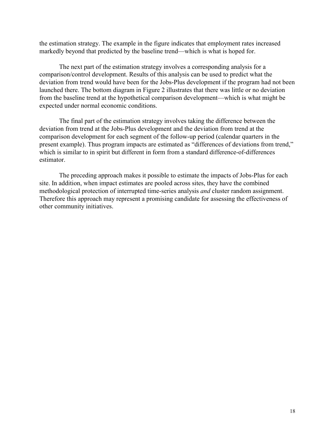the estimation strategy. The example in the figure indicates that employment rates increased markedly beyond that predicted by the baseline trend—which is what is hoped for.

The next part of the estimation strategy involves a corresponding analysis for a comparison/control development. Results of this analysis can be used to predict what the deviation from trend would have been for the Jobs-Plus development if the program had not been launched there. The bottom diagram in Figure 2 illustrates that there was little or no deviation from the baseline trend at the hypothetical comparison development—which is what might be expected under normal economic conditions.

The final part of the estimation strategy involves taking the difference between the deviation from trend at the Jobs-Plus development and the deviation from trend at the comparison development for each segment of the follow-up period (calendar quarters in the present example). Thus program impacts are estimated as "differences of deviations from trend," which is similar to in spirit but different in form from a standard difference-of-differences estimator.

The preceding approach makes it possible to estimate the impacts of Jobs-Plus for each site. In addition, when impact estimates are pooled across sites, they have the combined methodological protection of interrupted time-series analysis *and* cluster random assignment. Therefore this approach may represent a promising candidate for assessing the effectiveness of other community initiatives.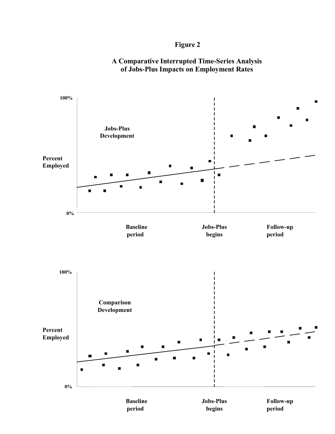## **Figure 2**



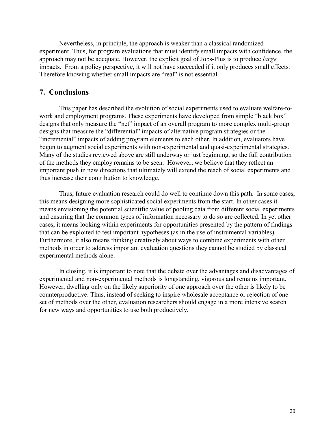Nevertheless, in principle, the approach is weaker than a classical randomized experiment. Thus, for program evaluations that must identify small impacts with confidence, the approach may not be adequate. However, the explicit goal of Jobs-Plus is to produce *large* impacts. From a policy perspective, it will not have succeeded if it only produces small effects. Therefore knowing whether small impacts are "real" is not essential.

#### **7. Conclusions**

This paper has described the evolution of social experiments used to evaluate welfare-towork and employment programs. These experiments have developed from simple "black box" designs that only measure the "net" impact of an overall program to more complex multi-group designs that measure the "differential" impacts of alternative program strategies or the "incremental" impacts of adding program elements to each other. In addition, evaluators have begun to augment social experiments with non-experimental and quasi-experimental strategies. Many of the studies reviewed above are still underway or just beginning, so the full contribution of the methods they employ remains to be seen. However, we believe that they reflect an important push in new directions that ultimately will extend the reach of social experiments and thus increase their contribution to knowledge.

Thus, future evaluation research could do well to continue down this path. In some cases, this means designing more sophisticated social experiments from the start. In other cases it means envisioning the potential scientific value of pooling data from different social experiments and ensuring that the common types of information necessary to do so are collected. In yet other cases, it means looking within experiments for opportunities presented by the pattern of findings that can be exploited to test important hypotheses (as in the use of instrumental variables). Furthermore, it also means thinking creatively about ways to combine experiments with other methods in order to address important evaluation questions they cannot be studied by classical experimental methods alone.

In closing, it is important to note that the debate over the advantages and disadvantages of experimental and non-experimental methods is longstanding, vigorous and remains important. However, dwelling only on the likely superiority of one approach over the other is likely to be counterproductive. Thus, instead of seeking to inspire wholesale acceptance or rejection of one set of methods over the other, evaluation researchers should engage in a more intensive search for new ways and opportunities to use both productively.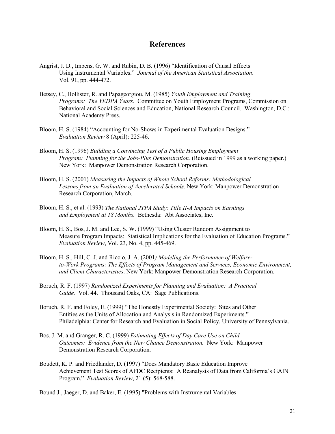#### **References**

- Angrist, J. D., Imbens, G. W. and Rubin, D. B. (1996) "Identification of Causal Effects Using Instrumental Variables." *Journal of the American Statistical Association*. Vol. 91, pp. 444-472.
- Betsey, C., Hollister, R. and Papageorgiou, M. (1985) *Youth Employment and Training Programs: The YEDPA Years.* Committee on Youth Employment Programs, Commission on Behavioral and Social Sciences and Education, National Research Council. Washington, D.C.: National Academy Press.
- Bloom, H. S. (1984) "Accounting for No-Shows in Experimental Evaluation Designs." *Evaluation Review* 8 (April): 225-46.
- Bloom, H. S. (1996) *Building a Convincing Test of a Public Housing Employment Program: Planning for the Jobs-Plus Demonstration.* (Reissued in 1999 as a working paper.) New York: Manpower Demonstration Research Corporation.
- Bloom, H. S. (2001) *Measuring the Impacts of Whole School Reforms: Methodological Lessons from an Evaluation of Accelerated Schools.* New York: Manpower Demonstration Research Corporation, March.
- Bloom, H. S., et al. (1993) *The National JTPA Study: Title II-A Impacts on Earnings and Employment at 18 Months.* Bethesda: Abt Associates, Inc.
- Bloom, H. S., Bos, J. M. and Lee, S. W. (1999) "Using Cluster Random Assignment to Measure Program Impacts: Statistical Implications for the Evaluation of Education Programs." *Evaluation Review*, Vol. 23, No. 4, pp. 445-469.
- Bloom, H. S., Hill, C. J. and Riccio, J. A. (2001*) Modeling the Performance of Welfareto-Work Programs: The Effects of Program Management and Services, Economic Environment, and Client Characteristics*. New York: Manpower Demonstration Research Corporation.
- Boruch, R. F. (1997) *Randomized Experiments for Planning and Evaluation: A Practical Guide.* Vol. 44. Thousand Oaks, CA: Sage Publications.
- Boruch, R. F. and Foley, E. (1999) "The Honestly Experimental Society: Sites and Other Entities as the Units of Allocation and Analysis in Randomized Experiments." Philadelphia: Center for Research and Evaluation in Social Policy, University of Pennsylvania.
- Bos, J. M. and Granger, R. C. (1999) *Estimating Effects of Day Care Use on Child Outcomes: Evidence from the New Chance Demonstration.* New York: Manpower Demonstration Research Corporation.
- Boudett, K. P. and Friedlander, D. (1997) "Does Mandatory Basic Education Improve Achievement Test Scores of AFDC Recipients: A Reanalysis of Data from California's GAIN Program." *Evaluation Review*, 21 (5): 568-588.

Bound J., Jaeger, D. and Baker, E. (1995) "Problems with Instrumental Variables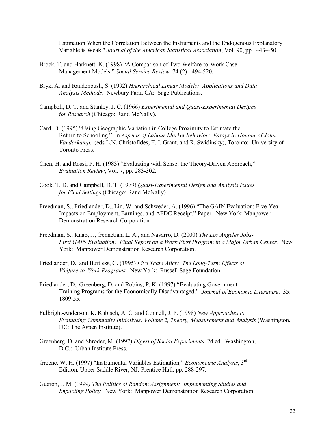Estimation When the Correlation Between the Instruments and the Endogenous Explanatory Variable is Weak." *Journal of the American Statistical Association*, Vol. 90, pp. 443-450.

- Brock, T. and Harknett, K. (1998) "A Comparison of Two Welfare-to-Work Case Management Models." *Social Service Review,* 74 (2): 494-520.
- Bryk, A. and Raudenbush, S. (1992) *Hierarchical Linear Models: Applications and Data Analysis Methods*. Newbury Park, CA: Sage Publications.
- Campbell, D. T. and Stanley, J. C. (1966) *Experimental and Quasi-Experimental Designs for Research* (Chicago: Rand McNally).
- Card, D. (1995) "Using Geographic Variation in College Proximity to Estimate the Return to Schooling." In *Aspects of Labour Market Behavior: Essays in Honour of John Vanderkamp*. (eds L.N. Christofides, E. I. Grant, and R. Swidinsky), Toronto: University of Toronto Press.
- Chen, H. and Rossi, P. H. (1983) "Evaluating with Sense: the Theory-Driven Approach," *Evaluation Review*, Vol. 7, pp. 283-302.
- Cook, T. D. and Campbell, D. T. (1979) *Quasi-Experimental Design and Analysis Issues for Field Settings* (Chicago: Rand McNally).
- Freedman, S., Friedlander, D., Lin, W. and Schweder, A. (1996) "The GAIN Evaluation: Five-Year Impacts on Employment, Earnings, and AFDC Receipt." Paper. New York: Manpower Demonstration Research Corporation.
- Freedman, S., Knab, J., Gennetian, L. A., and Navarro, D. (2000) *The Los Angeles Jobs-First GAIN Evaluation: Final Report on a Work First Program in a Major Urban Center.* New York: Manpower Demonstration Research Corporation.
- Friedlander, D., and Burtless, G. (1995) *Five Years After: The Long-Term Effects of Welfare-to-Work Programs.* New York: Russell Sage Foundation.
- Friedlander, D., Greenberg, D. and Robins, P. K. (1997) "Evaluating Government Training Programs for the Economically Disadvantaged." *Journal of Economic Literature*. 35: 1809-55.
- Fulbright-Anderson, K. Kubisch, A. C. and Connell, J. P. (1998) *New Approaches to Evaluating Community Initiatives: Volume 2, Theory, Measurement and Analysis* (Washington, DC: The Aspen Institute).
- Greenberg, D. and Shroder, M. (1997) *Digest of Social Experiments*, 2d ed. Washington, D.C.: Urban Institute Press.
- Greene, W. H. (1997) "Instrumental Variables Estimation," *Econometric Analysis*, 3rd Edition. Upper Saddle River, NJ: Prentice Hall. pp. 288-297.
- Gueron, J. M. (1999*) The Politics of Random Assignment: Implementing Studies and Impacting Policy.* New York: Manpower Demonstration Research Corporation.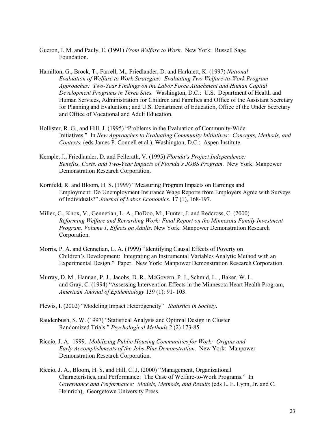- Gueron, J. M. and Pauly, E. (1991) *From Welfare to Work*. New York: Russell Sage Foundation.
- Hamilton, G., Brock, T., Farrell, M., Friedlander, D. and Harknett, K. (1997) *National Evaluation of Welfare to Work Strategies: Evaluating Two Welfare-to-Work Program Approaches: Two-Year Findings on the Labor Force Attachment and Human Capital Development Programs in Three Sites.* Washington, D.C.: U.S. Department of Health and Human Services, Administration for Children and Families and Office of the Assistant Secretary for Planning and Evaluation.; and U.S. Department of Education, Office of the Under Secretary and Office of Vocational and Adult Education.
- Hollister, R. G., and Hill, J. (1995) "Problems in the Evaluation of Community-Wide Initiatives." In *New Approaches to Evaluating Community Initiatives: Concepts, Methods, and Contexts.* (eds James P. Connell et al.), Washington, D.C.: Aspen Institute.
- Kemple, J., Friedlander, D. and Fellerath, V. (1995) *Florida's Project Independence: Benefits, Costs, and Two-Year Impacts of Florida's JOBS Program*. New York: Manpower Demonstration Research Corporation.
- Kornfeld, R. and Bloom, H. S. (1999) "Measuring Program Impacts on Earnings and Employment: Do Unemployment Insurance Wage Reports from Employers Agree with Surveys of Individuals?" *Journal of Labor Economics*. 17 (1), 168-197.
- Miller, C., Knox, V., Gennetian, L. A., DoDoo, M., Hunter, J. and Redcross, C. (2000) *Reforming Welfare and Rewarding Work: Final Report on the Minnesota Family Investment Program, Volume 1, Effects on Adults*. New York: Manpower Demonstration Research Corporation.
- Morris, P. A. and Gennetian, L. A. (1999) "Identifying Causal Effects of Poverty on Children's Development: Integrating an Instrumental Variables Analytic Method with an Experimental Design." Paper. New York: Manpower Demonstration Research Corporation.
- Murray, D. M., Hannan, P. J., Jacobs, D. R., McGovern, P. J., Schmid, L. , Baker, W. L. and Gray, C. (1994) "Assessing Intervention Effects in the Minnesota Heart Health Program, *American Journal of Epidemiology* 139 (1): 91- 103.
- Plewis, I. (2002) "Modeling Impact Heterogeneity" *Statistics in Society***.**
- Raudenbush, S. W. (1997) "Statistical Analysis and Optimal Design in Cluster Randomized Trials." *Psychological Methods* 2 (2) 173-85.
- Riccio, J. A. 1999. *Mobilizing Public Housing Communities for Work: Origins and Early Accomplishments of the Jobs-Plus Demonstration.* New York: Manpower Demonstration Research Corporation.
- Riccio, J. A., Bloom, H. S. and Hill, C. J. (2000) "Management, Organizational Characteristics, and Performance: The Case of Welfare-to-Work Programs." In *Governance and Performance: Models, Methods, and Results* (eds L. E. Lynn, Jr. and C. Heinrich), Georgetown University Press.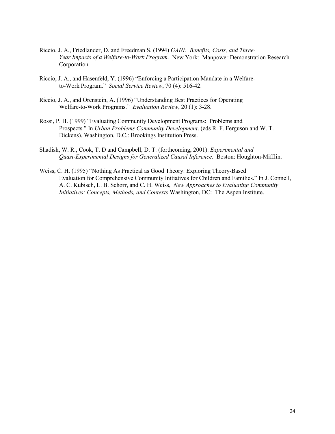- Riccio, J. A., Friedlander, D. and Freedman S. (1994) *GAIN: Benefits, Costs, and Three-Year Impacts of a Welfare-to-Work Program.* New York: Manpower Demonstration Research Corporation.
- Riccio, J. A., and Hasenfeld, Y. (1996) "Enforcing a Participation Mandate in a Welfareto-Work Program." *Social Service Review*, 70 (4): 516-42.
- Riccio, J. A., and Orenstein, A. (1996) "Understanding Best Practices for Operating Welfare-to-Work Programs." *Evaluation Review*, 20 (1): 3-28.
- Rossi, P. H. (1999) "Evaluating Community Development Programs: Problems and Prospects." In *Urban Problems Community Development*. (eds R. F. Ferguson and W. T. Dickens), Washington, D.C.: Brookings Institution Press.
- Shadish, W. R., Cook, T. D and Campbell, D. T. (forthcoming, 2001). *Experimental and Quasi-Experimental Designs for Generalized Causal Inference*. Boston: Houghton-Mifflin.
- Weiss, C. H. (1995) "Nothing As Practical as Good Theory: Exploring Theory-Based Evaluation for Comprehensive Community Initiatives for Children and Families." In J. Connell, A. C. Kubisch, L. B. Schorr, and C. H. Weiss, *New Approaches to Evaluating Community Initiatives: Concepts, Methods, and Contexts* Washington, DC: The Aspen Institute.